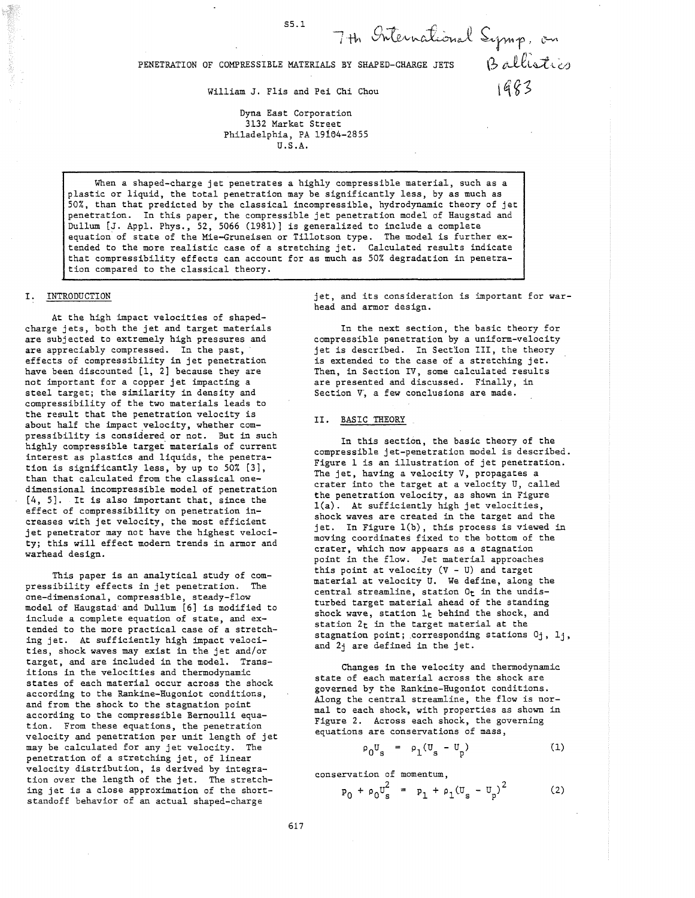# PENETRATION OF COMPRESSIBLE MATERIALS BY SHAPED-CHARGE JETS  $\beta$  *t*-llistics

William J. Flis and Pei Chi Chou  $\frac{9}{5}$ 

Dyna East Corporation 3132 Market Street Philadelphia, PA 19104-2855 U.S.A.

When a shaped-charge jet penetrates a highly compressible material, such as a plastic or liquid, the total penetration may be significantly less, by as much as 50%, than that predicted by the classical incompressible, hydrodynamic theory of jet penetration. In this paper, the compressible jet penetration model of Haugstad and Dullum [J. Appl. Phys., 52, 5066 (1981)] is generalized to include a complete equation of state of the Mie-Gruneisen or Tillotson type. The model is further extended to the more realistic case of a stretching jet. Calculated results indicate that compressibility effects can account for as much as 50% degradation in penetration compared to the classical theory.

## I. INTRODUCTION

At the high impact velocities of shapedcharge jets, both the jet and target materials are subjected to extremely high pressures and are appreciably compressed. In the past, effects of compressibility in jet penetration have been discounted [1, 2] because they are not important for a copper jet impacting a steel target; the similarity in density and compressibility of the two materials leads to the result that the penetration velocity is about half the impact velocity, whether compressibility is considered or not. But in such highly compressible target' materials of current interest as plastics and liquids, the penetration is significantly less, by up to 50% [3], than that calculated from the classical onedimensional incompressible model of penetration [4, 5]. It is also important that, since the effect of compressibility on penetration increases with jet velocity, the most efficient jet penetrator may not have the highest velocity; this will effect modern trends in armor and warhead design.

This paper is an analytical study of compressibility effects in jet penetration. The one-dimensional, compressible, steady-flow model of Haugstad and Dullum [6] is modified to include a complete equation of state, and extended to the more practical case of a stretching jet. At sufficiently high impact velocities, shock waves may exist in the jet and/or target, and are included in the model. Transitions in the velocities and thermodynamic states of each material occur across the shock according to the Rankine-Hugoniot conditions, and from the shock to the stagnation point according to the compressible Bernoulli equation. From these equations, the penetration velocity and penetration per unit length of jet may be calculated for any jet velocity. The penetration of a stretching jet, of linear velocity distribution, is derived by integration over the length of the jet. The stretching jet is a close approximation of the shortstandoff behavior of an actual shaped-charge

jet, and its consideration is important for warhead and armor design.

7 th International Symp, on

In the next section, the basic theory for compressible penetration by a uniform-velocity jet is described. In Section III, the theory is extended to the case of a stretching jet. Then, in Section IV, some calculated results are presented and discussed. Finally, in Section V, a few conclusions are made.

## II. BASIC THEORY

In this section, the basic theory of the compressible jet-penetration model is described. Figure 1 is an illustration of jet penetration. The jet, having a velocity V, propagates a crater into the target at a velocity U, called the penetration velocity, as shown in Figure  $l(a)$ . At sufficiently high jet velocities, shock waves are created in the target and the jet. In Figure l(b), this process is viewed in moving coordinates fixed to the bottom of the crater, which now appears as a stagnation point in the flow. Jet material approaches this point at velocity (V - U) and target material at velocity U. We define, along the central streamline, station Ot in the undisturbed target material ahead of the standing shock wave, station 1<sub>t</sub> behind the shock, and station  $2<sub>t</sub>$  in the target material at the stagnation point; corresponding stations  $0<sub>j</sub>$ ,  $1<sub>j</sub>$ , and 2j are defined in the jet.

Changes in the velocity and thermodynamic state of each material across the shock are governed by the Rankine-Hugoniot conditions. Along the central streamline, the flow is normal to each shock, with properties as shown in Figure 2. Across each shock, the governing equations are conservations of mass,

$$
\rho_0 U_s = \rho_1 (U_s - U_p) \tag{1}
$$

conservation of momentum,

$$
p_0 + \rho_0 U_s^2 = p_1 + \rho_1 (U_s - U_p)^2
$$
 (2)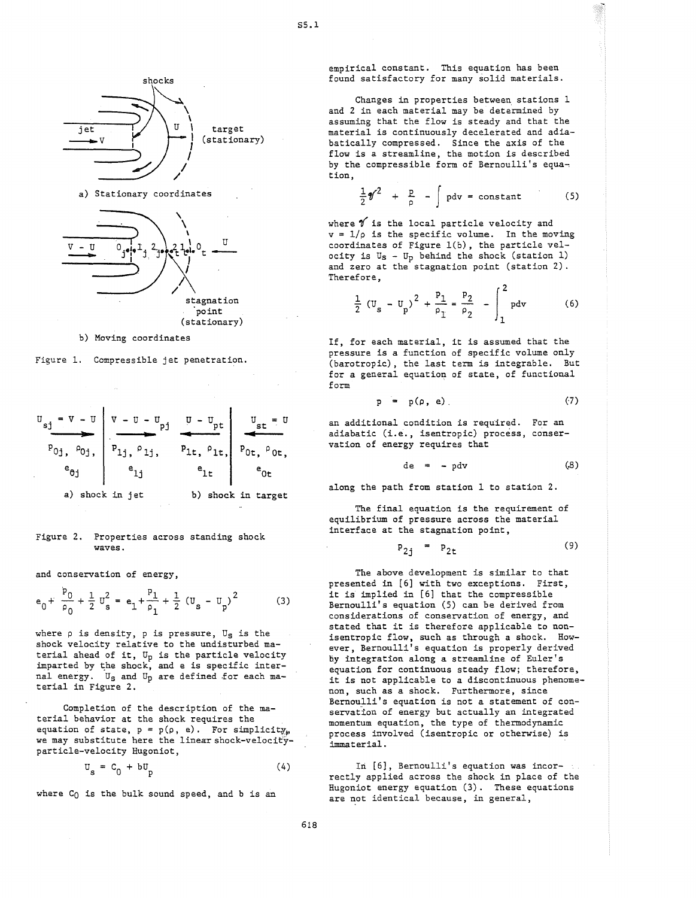

# (stationary)

b) Moving coordinates

Figure 1. Compressible jet penetration.



#### Figure 2. Properties across standing shock waves.

and conservation of energy,

$$
e_0 + \frac{p_0}{\rho_0} + \frac{1}{2} u_s^2 = e_1 + \frac{p_1}{\rho_1} + \frac{1}{2} (u_s - u_p)^2
$$
 (3)

where  $\rho$  is density,  $p$  is pressure,  $U_S$  is the shock velocity relative to the undisturbed material ahead of it,  $U_p$  is the particle velocity imparted by the shock, and e is specific internal energy. Us and Up are defined for each material in Figure 2.

Completion of the description of the material behavior at the shock requires the equation of state,  $p = p(\rho, e)$ . For simplicity, we may substitute here the linear shock-velocityparticle-velocity Hugoniot,

$$
\mathbf{U}_{\mathbf{s}} = \mathbf{C}_0 + \mathbf{b} \mathbf{U}_{\mathbf{b}} \tag{4}
$$

where  $C_0$  is the bulk sound speed, and b is an

empirical constant. This equation has been found satisfactory for many solid materials.

Changes in properties between stations 1 and 2 in each material may be determined by assuming that the flow is steady and that the material is continuously decelerated and adiabatically compressed. Since the axis of the flow is a streamline, the motion is described by the compressible form of Bernoulli's equation,

$$
\frac{1}{2}\mathscr{Y}^2 + \frac{p}{\rho} - \int p dv = constant \qquad (5)
$$

where  $\mathscr V$  is the local particle velocity and  $v = 1/\rho$  is the specific volume. In the moving coordinates of Figure l(b), the particle velocity is  $U_S - U_p$  behind the shock (station 1) and zero at the stagnation point (station 2). Therefore,

$$
\frac{1}{2} (U_{s} - U_{p})^{2} + \frac{p_{1}}{\rho_{1}} = \frac{p_{2}}{\rho_{2}} - \int_{1}^{2} p dv
$$
 (6)

If, for each material, it is assumed that the pressure is a function of specific volume only (barotropic), the last term is integrable. But for a general equation of state, of functional form

$$
p = p(\rho, e) \tag{7}
$$

an additional condition is required. For an adiabatic (i.e., isentropic) process, conservation of energy requires that

$$
de = - p dv \qquad (8)
$$

along the path from station 1 to station 2.

The final equation is the requirement of equilibrium of pressure across the material interface at the stagnation point,

$$
P_{2j} = P_{2t} \tag{9}
$$

The above development is similar to that presented in [6] with two exceptions. First, it is implied in [6] that the compressible Bernoulli's equation (5) can be derived from considerations of conservation of energy, and stated that it is therefore applicable to nonisentropic flow, such as through a shock. However, Bernoulli's equation is properly derived by integration along a streamline of Euler's equation for continuous steady flow; therefore, it is not applicable to a discontinuous phenomenon, such as a shock. Furthermore, since Bernoulli's equation is not a statement of conservation of energy but actually an integrated momentum equation, the type of thermodynamic process involved (isentropic or otherwise) is immaterial.

In [6], Bernoulli's equation was incorrectly applied across the shock in place of the Hugoniot energy equation (3). These equations are not identical because, in general,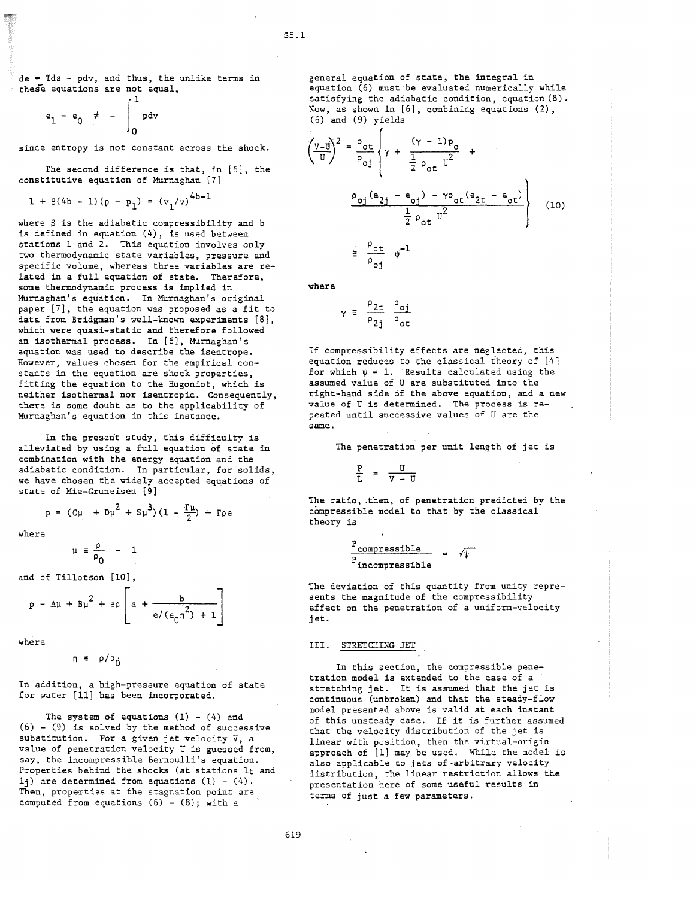de = Tds - pdv, and thus, the unlike terms in these equations are not equal,

$$
e_1 - e_0 \ne - \int_0^1 p dv
$$

since entropy is not constant across the shock.

The second difference is that, in [6], the constitutive equation of Murnaghan [7]

 $1 + \beta(4b - 1)(p - p_1) = (v_1/v)^{4b-1}$ 

where  $\beta$  is the adiabatic compressibility and b is defined in equation (4), is used between stations I and 2. This equation involves only two thermodynamic state variables, pressure and specific volume, whereas three variables are related in a full equation of state. Therefore, some thermodynamic process is implied in Murnaghan's equation. In Murnaghan's original paper [7], the equation was proposed as a fit to data from Bridgman's well-known experiments [8], which were quasi-static and therefore followed an isothermal process. In [6], Murnaghan's equation was used to describe the isentrope. However, values chosen for the empirical constants in the equation are shock properties, fitting the equation to the Hugoniot, which is neither isothermal nor isentropic. Consequently, there is some doubt as to the applicability of Murnaghan's equation in this instance.

In the present study, this difficulty is alleviated by using a full equation of state in combination with the energy equation and the adiabatic condition. In particular, for solids, we have chosen the widely accepted equations of state of Mie-Gruneisen [9]

$$
p = (C\mu + D\mu^{2} + S\mu^{3})(1 - \frac{T\mu}{2}) + P\rho e
$$

where

$$
\mu \equiv \frac{\rho}{\rho_0} - 1
$$

and of Tillotson [10] ,

$$
p = Au + Bu^{2} + ep\left[a + \frac{b}{e/(e_{0}n^{2}) + 1}\right]
$$

where

 $\eta \equiv \rho / \rho_0$ 

In addition, a high-pressure equation of state for water [11] has been incorporated.

The system of equations  $(1) - (4)$  and  $(6)$  -  $(9)$  is solved by the method of successive substitution. For a given jet velocity V, a value of penetration velocity U is guessed from, say, the incompressible Bernoulli's equation. Properties behind the shocks (at stations It and  $1<sub>i</sub>$ ) are determined from equations (1) - (4). Then, properties at the stagnation point are computed from equations  $(6)$  -  $(8)$ ; with a

general equation of state, the integral in equation (6) must be evaluated numerically while satisfying the adiabatic condition, equation (8}. Now, as shown in [6], combining equations (2), (6) and (9) yields

$$
\left(\frac{v - g}{v}\right)^2 = \frac{\rho_{ot}}{\rho_{oj}} \left\{\gamma + \frac{(\gamma - 1)p_o}{\frac{1}{2} \rho_{ot} v^2} + \frac{p_{oj}(e_{2j} - e_{oj}) - \gamma p_{ot}(e_{2t} - e_{ot})}{\frac{1}{2} \rho_{ot} v^2} \right\}
$$
\n
$$
\equiv \frac{\rho_{ot}}{\rho_{oj}} \psi^{-1}
$$
\n(10)

where

$$
\gamma \equiv \frac{\rho_{2t}}{\rho_{2j}} \frac{\rho_{oj}}{\rho_{ot}}
$$

If compressibility effects are neglected, this equation reduces to the classical theory of [4] for which  $\psi = 1$ . Results calculated using the assumed value of U are substituted into the right-hand side of the above equation, and a new value of U is determined. The process is repeated until successive values of U are the same.

The penetration per unit length of jet is

$$
\frac{L}{L} = \frac{\Delta - \Omega}{}
$$

The ratio, then, of penetration predicted by the compressible model to that by the classical theory is

$$
\frac{P_{\text{compressible}}}{P_{\text{incompressible}}}
$$
 =  $\sqrt{\psi}$ 

The deviation of this quantity from unity represents the magnitude of the compressibility effect on the penetration of a uniform-velocity jet.

III. STRETCHING JET

In this section, the compressible penetration model is extended to the case of a stretching jet. It is assumed that the jet is continuous (unbroken) and that the steady-flow model presented above is valid at each instant of this unsteady case. If **it** is further assumed that the velocity distribution of the jet is linear with position, then the virtual-origin approach of [1] may be used. While the model is also applicable to jets of-arbitrary velocity distribution, the linear restriction allows the presentation here of some useful results in terms of just a few parameters.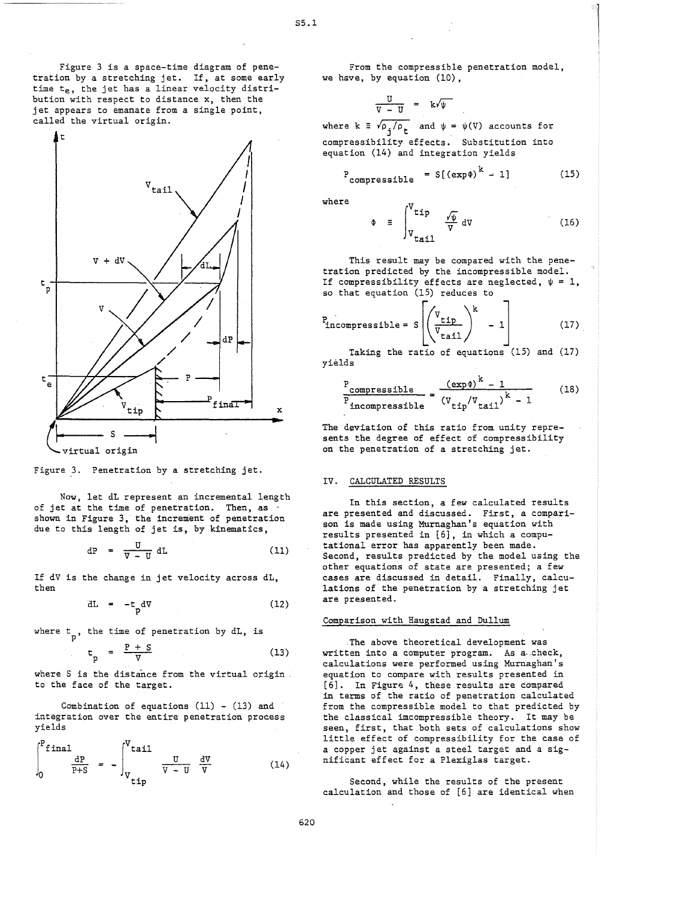Figure 3 is a space-time diagram of penetration by a stretching jet. If, at some early time  $t_e$ , the jet has a linear velocity distribution with respect to distance x, then the jet appears to emanate from a single point, called the virtual origin.



Figure 3. Penetration by a stretching jet.

Now, let dL represent an incremental length of jet at the time of penetration. Then, as . shown in Figure 3, the increment of penetration due to this length of jet is, by kinematics,

$$
dP = \frac{U}{V - U} dL \qquad (11)
$$

If dV is the change in jet velocity across dL, then

$$
dL = -t_p dV
$$
 (12)

where  $t_p$ , the time of penetration by  $dL$ , is

$$
t_p = \frac{P + S}{V}
$$
 (13)

where S is the distance from the virtual origin to the face of the target.

Combination of equations  $(11)$  -  $(13)$  and yields

integration over the entire penetration process  
yields  

$$
\int_{0}^{P} \text{final} \quad \frac{dP}{P+S} = -\int_{V}^{V} \text{tail} \quad \frac{U}{V-U} \quad \frac{dV}{V} \quad (14)
$$

From the compressible penetration model, we have, by equation (10),

$$
\frac{U}{V-U} = k\sqrt{\psi}
$$

where  $k \equiv \sqrt{\rho_i/\rho_t}$  and  $\psi = \psi(V)$  accounts for compressibility effects. Substitution into equation (14) and integration yields

$$
P_{\text{compressible}} = S[(\exp\phi)^{K} - 1] \tag{15}
$$

where

$$
\Phi \equiv \int_{V_{tail}}^{V_{tip}} \frac{\sqrt{\psi}}{V} dV
$$
 (16)

This result may be compared with the penetration predicted by the incompressible model. If compressibility effects are neglected,  $\psi = 1$ , so that equation (15) reduces to

$$
P_{\text{incompressible}} = s \left[ \left( \frac{v_{\text{tip}}}{v_{\text{tail}}} \right)^{k} - 1 \right] \tag{17}
$$

Taking the ratio of equations (15) and (17) yields

$$
\frac{P_{\text{compressible}}}{P_{\text{incompressible}}} = \frac{(\exp \phi)^{k} - 1}{(\text{V}_{\text{tip}}/\text{V}_{\text{tail}})^{k} - 1}
$$
(18)

The deviation of this ratio from unity represents the degree of effect of compressibility on the penetration of a stretching jet.

## IV. CALCULATED RESULTS

In this section, a few calculated results are presented and discussed. First, a comparison is made using Murnaghan's equation with results presented in [6), in which a computational error has apparently been made. Second, results predicted by the model using the other equations of state are presented; a few cases are discussed in detail. Finally, calculations of the penetration by a stretching jet are presented.

## Comparison with Haugstad and Dullum

.The above theoretical development was written into a computer program. As a check, calculations were performed using Murnaghan's equation to compare with results presented in [6). In Figure 4, these results are compared in terms of the ratio of penetration calculated from the compressible model to that predicted by the classical imcompressible theory. It may be seen, first, that both sets of calculations show little effect of compressibility for the case of a copper jet against a steel target and a significant effect for a Plexiglas target.

Second, while the results of the present calculation and those of [6) are identical when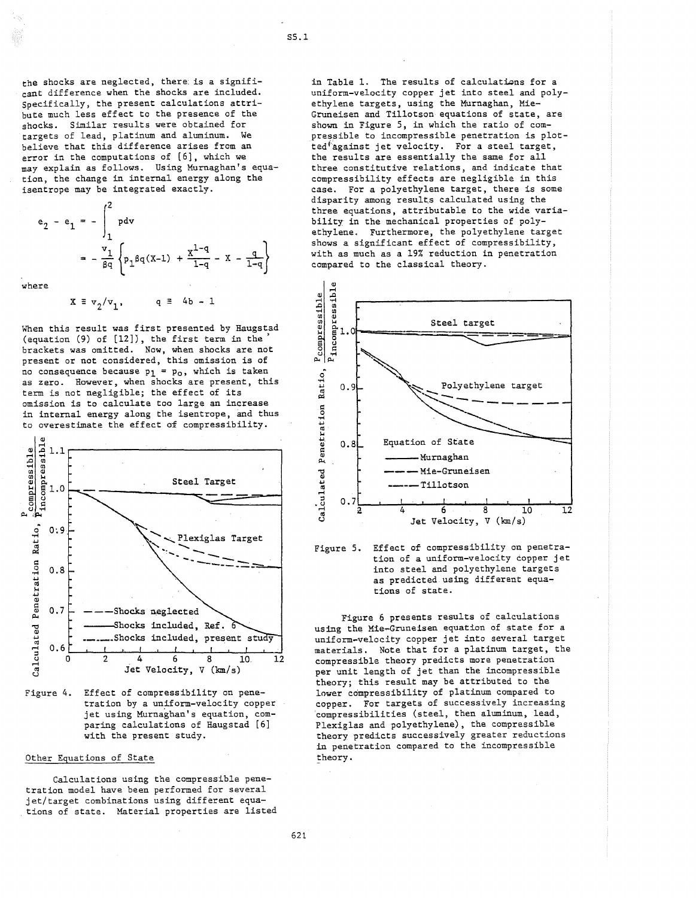the shocks are neglected, there: is a significant difference when the shocks are included. Specifically, the present calculations attribute much less effect to the presence of the shocks. Similar results were obtained for targets of lead, platinum and aluminum. We believe that this difference arises from an error in the computations of [6], which we may explain as follows. Using Murnaghan's equation, the change in internal energy along the isentrope may be integrated exactly.

$$
e_2 - e_1 = -\int_1^2 pdv
$$
  
=  $-\frac{v_1}{\beta q} \left\{ p_1 \beta q(x-1) + \frac{x^{1-q}}{1-q} - x - \frac{q}{1-q} \right\}$ 

where

 $X \equiv v_2/v_1$ ,  $q \equiv 4b - 1$ 

When this result was first presented by Haugstad (equation (9) of [12]), the first term in the) brackets was omitted. Now, when shocks are not present or not considered, this omission is of no consequence because  $p_1 = p_0$ , which is taken as zero. However, when shocks are present, this term is not negligible; the effect of its omission is to calculate too large an increase in internal energy along the isentrope, and thus to overestimate the effect of compressibility.



Figure 4. Effect of compressibility on penetration by a uniform-velocity copper jet using Murnaghan's equation, comparing calculations of Haugstad [6] with the present study.

## Other Equations of State

Calculations using the compressible penetration model have been performed for several jet/target combinations using different equations of state. Material properties are listed in Table 1. The results of calculations for a uniform-velocity copper jet into steel and polyethylene targets, using the Murnaghan, Mie-Gruneisen and Tillotson equations of state, are shown in Figure 5, in which the ratio of compressible to incompressible penetration is plotted<sup>\*</sup>against jet velocity. For a steel target, the results are essentially the same for all three constitutive relations, and indicate that compressibility effects are negligible in this case. For a polyethylene target, there is some disparity among results calculated using the three equations, attributable to the wide variability in the mechanical properties of polyethylene. Furthermore, the polyethylene target shows a significant effect of compressibility, with as much as a 19% reduction in penetration compared to the classical theory.





Figure 6 presents results of calculations using the Mie-Gruneisen equation of state for a uniform-velocity copper jet into several target materials. Note that for a platinum target, the compressible theory predicts more penetration per unit length of jet than the incompressible theory; this result may be attributed to the lower compressibility of platinum compared to copper. For targets of successively increasing 'compressibilities (steel, then aluminum, lead, Plexiglas and polyethylene), the compressible theory predicts successively greater reductions in penetration compared to the incompressible theory.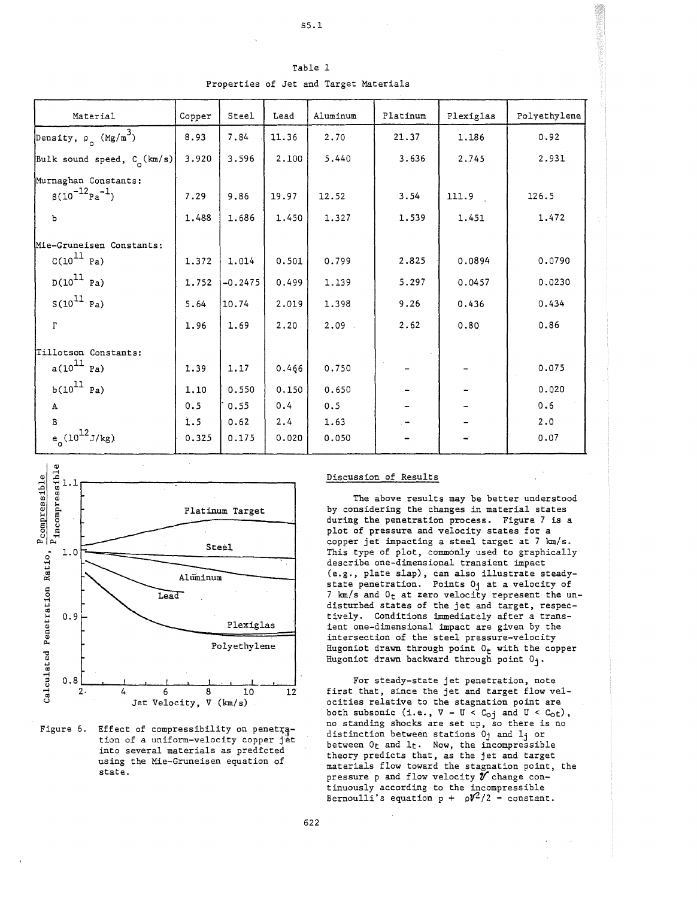| Table 1 |  |  |
|---------|--|--|

Properties of Jet and Target Materials

| Material                               | Copper | Steel     | Lead  | Aluminum | Platinum | Plexiglas | Polyethylene |
|----------------------------------------|--------|-----------|-------|----------|----------|-----------|--------------|
| Density, $\rho_o$ (Mg/m <sup>3</sup> ) | 8.93   | 7.84      | 11.36 | 2.70     | 21.37    | 1.186     | 0.92         |
| Bulk sound speed, $C_0$ (km/s)         | 3.920  | 3.596     | 2.100 | 5.440    | 3.636    | 2.745     | 2.931        |
| Murnaghan Constants:                   |        |           |       |          |          |           |              |
| $\beta(10^{-12}$ $\mu$ <sup>-1</sup> ) | 7.29   | 9.86      | 19.97 | 12.52    | 3.54     | 111.9     | 126.5        |
| Ъ                                      | 1.488  | 1.686     | 1.450 | 1.327    | 1.539    | 1.451     | 1.472        |
| Mie-Gruneisen Constants:               |        |           |       |          |          |           |              |
| $C(10^{11}$ Pa)                        | 1.372  | 1.014     | 0.501 | 0.799    | 2.825    | 0.0894    | 0.0790       |
| $D(10^{11}$ Pa)                        | 1.752  | $-0.2475$ | 0.499 | 1.139    | 5.297    | 0.0457    | 0.0230       |
| $S(10^{11}$ Pa)                        | 5.64   | 10.74     | 2.019 | 1.398    | 9.26     | 0.436     | 0.434        |
| $\Gamma$                               | 1.96   | 1.69      | 2.20  | 2.09     | 2.62     | 0.80      | 0.86         |
| Tillotson Constants:                   |        |           |       |          |          |           |              |
| $a(10^{11}$ Pa)                        | 1.39   | 1.17      | 0.466 | 0.750    |          |           | 0.075        |
| $b(10^{11}$ Pa)                        | 1.10   | 0.550     | 0.150 | 0.650    |          |           | 0.020        |
| $\mathbf A$                            | 0.5    | 0.55      | 0.4   | 0.5      |          |           | 0.6          |
| B                                      | 1.5    | 0.62      | 2.4   | 1.63     |          |           | 2.0          |
| $e^{(10^{12}J/kg)}$                    | 0.325  | 0.175     | 0.020 | 0.050    |          |           | 0.07         |





# Discussion of Results

The above results may be better understood by considering the changes in material states during the penetration process. Figure 7 is a plot of pressure and velocity states for a copper jet impacting a steel target at 7 km/s. This type of plot, commonly used to graphically describe one-dimensional transient impact (e.g., plate slap), can also illustrate steadystate penetration. Points Oj at a velocity of 7  $km/s$  and  $0<sub>t</sub>$  at zero velocity represent the undisturbed states of the jet and target, respectively. Conditions immediately after a transient one-dimensional impact are given by the intersection of the steel pressure-velocity Hugoniot drawn through point  $0_t$  with the copper Hugoniot drawn backward through point  $0_1$ .

For steady-state jet penetration, note first that, since the jet and target flow velocities relative to the stagnation point are both subsonic (i.e.,  $V - U < C_{oj}$  and  $U < C_{ot}$ ), no standing shocks are set up, so there is no distinction between stations  $0<sub>j</sub>$  and  $1<sub>j</sub>$  or between  $0<sub>t</sub>$  and  $1<sub>t</sub>$ . Now, the incompressible theory predicts that, as the jet and target materials flow toward the stagnation point, the pressure p and flow velocity  $\hat{\mathbf{y}}$  change continuously according to the incompressible Bernoulli's equation  $p + \rho V^2/2 = \text{constant}$ .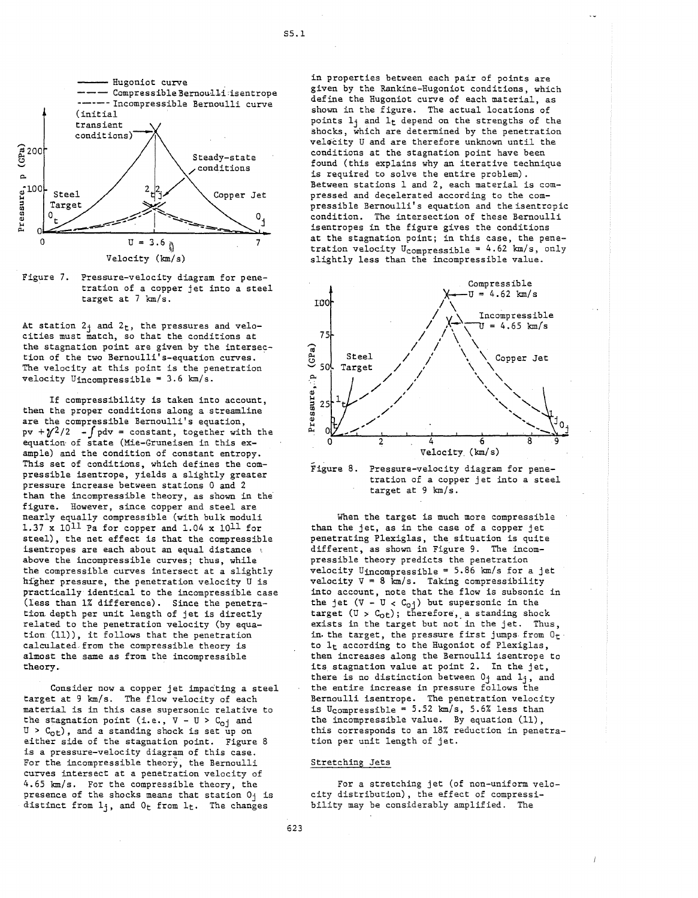

Figure 7. Pressure-velocity diagram for penetration of a copper jet into a steel target at  $7 \text{ km/s}$ .

At station  $2<sub>j</sub>$  and  $2<sub>t</sub>$ , the pressures and velocities must match, so that the conditions at the stagnation point are given by the intersection of the two Bernoulli's-equation curves .. The velocity at this point is the penetration velocity Uincompressible =  $3.6 \text{ km/s}.$ 

If compressibility is taken into account, then the proper conditions along a streamline are the compressible Bernoulli's equation,  $pv +\frac{\gamma^2}{2}$  -  $\int pdv = constant$ , together with the equation· of state (Mie-Gruneisen in this example) and the condition of constant entropy. This set of conditions, which defines the compressible isentrope, yields a slightly greater pressure increase between stations 0 and 2 than the incompressible theory, as shown in the' figure. However, since copper and steel are nearly equally compressible (with bulk moduli 1.37 x lOll Pa for copper and 1.04 x lOll for steel), the net effect is that the compressible isentropes are each about an equal distance  $\mathbb{R}$ above the incompressible curves; thus, while the compressible curves intersect at a slightly higher pressure, the penetration velocity U is practically identical to the incompressible case (less than 1% difference). Since the penetration. depth per unit length of jet is directly related to the penetration velocity (by equation (11)), it follows that the penetration calculated from the compressible theory is almost the same as from the incompressible theory.

Consider now a copper jet impacting a steel target at 9 km/s. The flow velocity of each material is in this case supersonic relative to the stagnation point (i.e.,  $V - U > C_{oj}$  and  $U > C_{0<sub>tt</sub>}$ , and a standing shock is set up on either side of the stagnation point. Figure 8 is a pressure-velocity diagram of this case. For the incompressible theory, the Bernoulli curves intersect at a penetration velocity of 4.65 km/s. For the compressible theory, the presence of the shocks means that station Oj is distinct from  $l_j$ , and  $0_t$  from  $l_t$ . The changes

in properties between each pair of points are given by the Rankine-Hugoniot conditions, which define the Hugoniot curve of each material, as shown in the figure. The actual locations of points  $1<sub>j</sub>$  and  $1<sub>t</sub>$  depend on the strengths of the shocks, which are determined by the penetration velocity U and are therefore unknown until the conditions at the stagnation point have been found (this explains why an iterative technique is required to solve the entire problem). Between stations 1 and 2, each material is compressed and decelerated according to the compressible Bernoulli's equation and the isentropic condition. The intersection of these Bernoulli isentropes in the figure gives the conditions at the stagnation point; in this case, the penetration velocity  $U_{\text{compressible}} = 4.62 \text{ km/s}, \text{ only}$ slightly less than the incompressible value.





When the target is much more compressible than the jet, as in the case of a copper jet penetrating Plexiglas, the situation is quite different, as shown in Figure 9. The incompressible theory predicts the penetration velocity Uincompressible = 5.86 km/s for a jet velocity  $V = 8$  km/s. Taking compressibility into account, note that the flow is subsonic in the jet  $(V - U < C_{0j})$  but supersonic in the target  $(U > C<sub>ot</sub>)$ ; therefore, a standing shock exists in the target but not in the jet. Thus, in the target, the pressure first jumps from  $0<sub>t</sub>$ to It according to the Hugoniot of Plexiglas, then increases along the Bernoulli isentrope to its stagnation value at point 2. In the jet, there is no distinction between  $0<sub>j</sub>$  and  $1<sub>j</sub>$ , and the entire increase in pressure follows the Bernoulli isentrope. The penetration velocity is Ucompressible =  $5.52 \text{ km/s}$ ,  $5.6\%$  less than the incompressible value. By equation (11), this corresponds to an 18% reduction in penetration per unit length of jet.

# Stretching Jets

For a stretching jet (of non-uniform velocity distribution), the effect of compressibility may be considerably amplified. The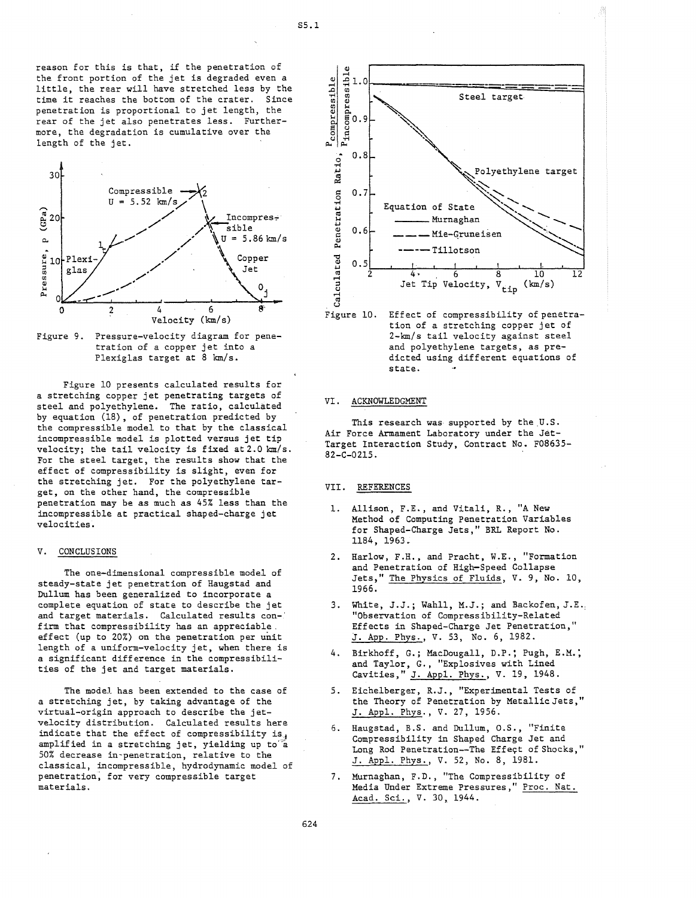reason for this is that, if the penetration of the front portion of the jet is degraded even a little, the rear will have stretched less by the time it reaches the bottom of the crater. Since penetration is proportional to jet length, the rear of the jet also penetrates less. Furthermore, the degradation is cumulative over the length of the jet.



Figure 9. Pressure-velocity diagram for penetration of a copper jet into a Plexiglas target at 8 km/s.

Figure 10 presents calculated results for a stretching copper jet penetrating targets of steel and polyethylene. The ratio, calculated by equation (18), of penetration predicted by the compressible model to that by the classical incompressible model is plotted versus jet tip velocity; the tail velocity is fixed at 2.0 km/s. For the steel target, the results show that the effect of compressibility is slight, even for the stretching jet. For the polyethylene target, on the other hand, the compressible penetration may be as much as 45% less than the incompressible at practical shaped-charge jet velocities.

## V. CONCLUSIONS

The one-dimensional compressible model of steady-state jet penetration of Haugstad and Dullum has been generalized to incorporate a complete equation of state to describe the jet and target materials. Calculated results con-' firm that compressibility has an appreciable, effect (up to 20%) on the penetration per unit length of a uniform-velocity jet, when there is a significant difference in the compressibilities of the jet and target materials.

The model has been extended to the case of a stretching jet, by taking advantage of the virtual-origin approach to describe the jetvelocity distribution. Calculated results here indicate that the effect of compressibility is. amplified in a stretching jet, yielding up to"a 50% decrease in-penetration, relative to the classical, incompressible, hydrodynamic model of penetration; for very compressible target materials.





## VI. ACKNOWLEDGMENT

This research was supported by the U.S. Air Force Armament Laboratory under the Jet-Target Interaction Study, Contract No. F08635- 82-C-02l5.

#### VII. REFERENCES

- 1. Allison, F.E., and Vitali, R., "A New Method of Computing Penetration Variables for Shaped-Charge Jets," BRL Report No. 1184, 1963.
- 2. Harlow, F.H., and Pracht, W.E., "Formation and Penetration of High-Speed Collapse Jets," The Physics of Fluids, V. 9, No. 10, 1966.
- 3. White, J.J.; Wahll, M.J.; and Backofen, J.E.: "Observation of Compressibility-Related Effects in Shaped-Charge Jet Penetration," J. App. Phys., V. 53, No. 6, 1982.
- 4. Birkhoff, G.; MacDougall, D.P.; Pugh, E.M.: and Taylor, G., "Explosives with Lined Cavities, " J. Appl. Phys., V. 19, 1948.
- 5. Eichelberger, R.J., "Experimental Tests of the Theory of Penetration by Metallic Jets," J. Appl. Phys., V. 27, 1956.
- 6. Haugstad, B.S. and Dullum, O.S., "Finite Compressibility in Shaped Charge Jet and Long Rod Penetration--The Effect of Shocks," J. Appl. Phys., V. 52, No.8, 1981.
- 7. Murnaghan, F. D., "The Compressibility of Media Under Extreme Pressures," Proc. Nat. Acad. Sci., V. 30, 1944.